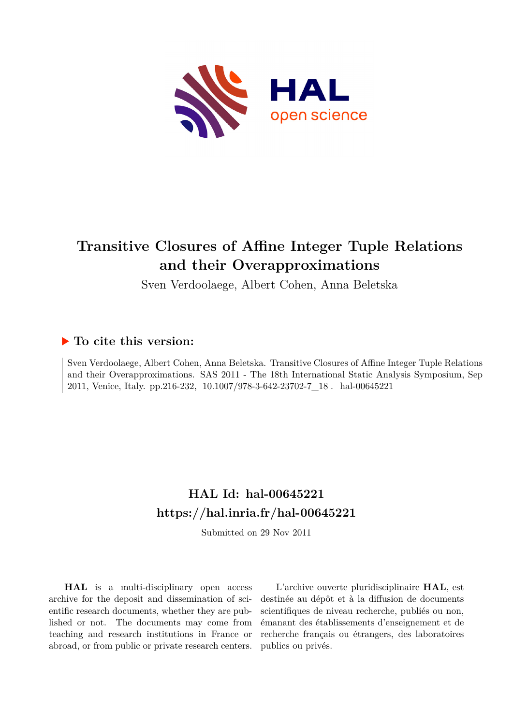

# **Transitive Closures of Affine Integer Tuple Relations and their Overapproximations**

Sven Verdoolaege, Albert Cohen, Anna Beletska

# **To cite this version:**

Sven Verdoolaege, Albert Cohen, Anna Beletska. Transitive Closures of Affine Integer Tuple Relations and their Overapproximations. SAS 2011 - The 18th International Static Analysis Symposium, Sep 2011, Venice, Italy. pp.216-232, 10.1007/978-3-642-23702-7\_18. hal-00645221

# **HAL Id: hal-00645221 <https://hal.inria.fr/hal-00645221>**

Submitted on 29 Nov 2011

**HAL** is a multi-disciplinary open access archive for the deposit and dissemination of scientific research documents, whether they are published or not. The documents may come from teaching and research institutions in France or abroad, or from public or private research centers.

L'archive ouverte pluridisciplinaire **HAL**, est destinée au dépôt et à la diffusion de documents scientifiques de niveau recherche, publiés ou non, émanant des établissements d'enseignement et de recherche français ou étrangers, des laboratoires publics ou privés.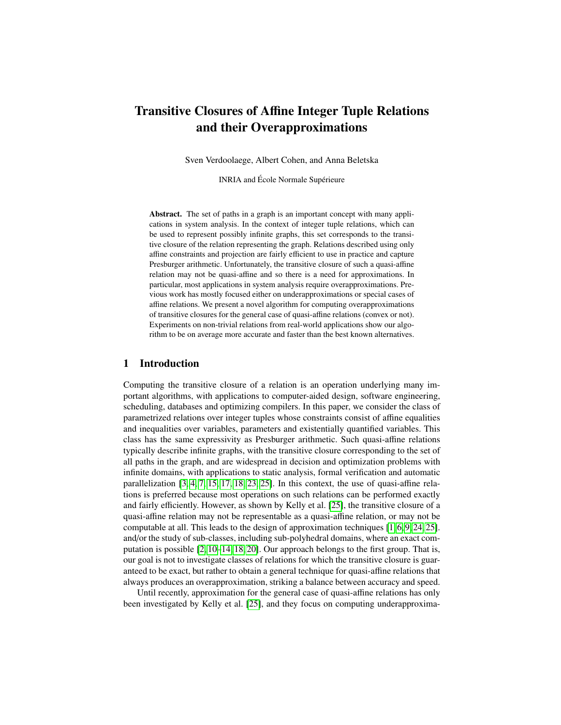# Transitive Closures of Affine Integer Tuple Relations and their Overapproximations

Sven Verdoolaege, Albert Cohen, and Anna Beletska

INRIA and École Normale Supérieure

Abstract. The set of paths in a graph is an important concept with many applications in system analysis. In the context of integer tuple relations, which can be used to represent possibly infinite graphs, this set corresponds to the transitive closure of the relation representing the graph. Relations described using only affine constraints and projection are fairly efficient to use in practice and capture Presburger arithmetic. Unfortunately, the transitive closure of such a quasi-affine relation may not be quasi-affine and so there is a need for approximations. In particular, most applications in system analysis require overapproximations. Previous work has mostly focused either on underapproximations or special cases of affine relations. We present a novel algorithm for computing overapproximations of transitive closures for the general case of quasi-affine relations (convex or not). Experiments on non-trivial relations from real-world applications show our algorithm to be on average more accurate and faster than the best known alternatives.

# 1 Introduction

Computing the transitive closure of a relation is an operation underlying many important algorithms, with applications to computer-aided design, software engineering, scheduling, databases and optimizing compilers. In this paper, we consider the class of parametrized relations over integer tuples whose constraints consist of affine equalities and inequalities over variables, parameters and existentially quantified variables. This class has the same expressivity as Presburger arithmetic. Such quasi-affine relations typically describe infinite graphs, with the transitive closure corresponding to the set of all paths in the graph, and are widespread in decision and optimization problems with infinite domains, with applications to static analysis, formal verification and automatic parallelization [3, 4, 7, 15, 17, 18, 23, 25]. In this context, the use of quasi-affine relations is preferred because most operations on such relations can be performed exactly and fairly efficiently. However, as shown by Kelly et al. [25], the transitive closure of a quasi-affine relation may not be representable as a quasi-affine relation, or may not be computable at all. This leads to the design of approximation techniques [1, 6, 9, 24, 25]. and/or the study of sub-classes, including sub-polyhedral domains, where an exact computation is possible [2, 10–14, 18, 20]. Our approach belongs to the first group. That is, our goal is not to investigate classes of relations for which the transitive closure is guaranteed to be exact, but rather to obtain a general technique for quasi-affine relations that always produces an overapproximation, striking a balance between accuracy and speed.

Until recently, approximation for the general case of quasi-affine relations has only been investigated by Kelly et al. [25], and they focus on computing underapproxima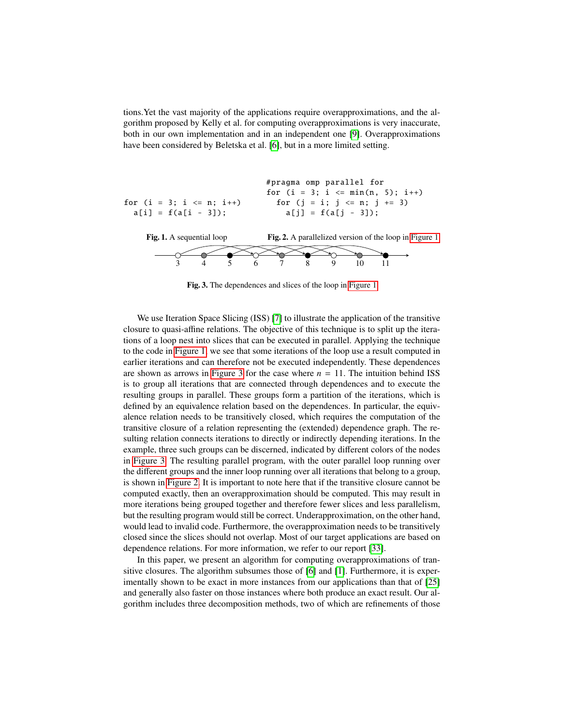tions.Yet the vast majority of the applications require overapproximations, and the algorithm proposed by Kelly et al. for computing overapproximations is very inaccurate, both in our own implementation and in an independent one [9]. Overapproximations have been considered by Beletska et al. [6], but in a more limited setting.

for  $(i = 3; i \le n; i++)$  $a[i] = f(a[i - 3]);$ Fig. 1. A sequential loop #pragma omp parallel for for  $(i = 3; i \le min(n, 5); i++)$ for  $(i = i; j \le n; j + = 3)$  $a[j] = f(a[j - 3]);$ Fig. 2. A parallelized version of the loop in Figure 1 3 4 5 6 7 8 9 10 11

Fig. 3. The dependences and slices of the loop in Figure 1

We use Iteration Space Slicing (ISS) [7] to illustrate the application of the transitive closure to quasi-affine relations. The objective of this technique is to split up the iterations of a loop nest into slices that can be executed in parallel. Applying the technique to the code in Figure 1, we see that some iterations of the loop use a result computed in earlier iterations and can therefore not be executed independently. These dependences are shown as arrows in Figure 3 for the case where  $n = 11$ . The intuition behind ISS is to group all iterations that are connected through dependences and to execute the resulting groups in parallel. These groups form a partition of the iterations, which is defined by an equivalence relation based on the dependences. In particular, the equivalence relation needs to be transitively closed, which requires the computation of the transitive closure of a relation representing the (extended) dependence graph. The resulting relation connects iterations to directly or indirectly depending iterations. In the example, three such groups can be discerned, indicated by different colors of the nodes in Figure 3. The resulting parallel program, with the outer parallel loop running over the different groups and the inner loop running over all iterations that belong to a group, is shown in Figure 2. It is important to note here that if the transitive closure cannot be computed exactly, then an overapproximation should be computed. This may result in more iterations being grouped together and therefore fewer slices and less parallelism, but the resulting program would still be correct. Underapproximation, on the other hand, would lead to invalid code. Furthermore, the overapproximation needs to be transitively closed since the slices should not overlap. Most of our target applications are based on dependence relations. For more information, we refer to our report [33].

In this paper, we present an algorithm for computing overapproximations of transitive closures. The algorithm subsumes those of [6] and [1]. Furthermore, it is experimentally shown to be exact in more instances from our applications than that of [25] and generally also faster on those instances where both produce an exact result. Our algorithm includes three decomposition methods, two of which are refinements of those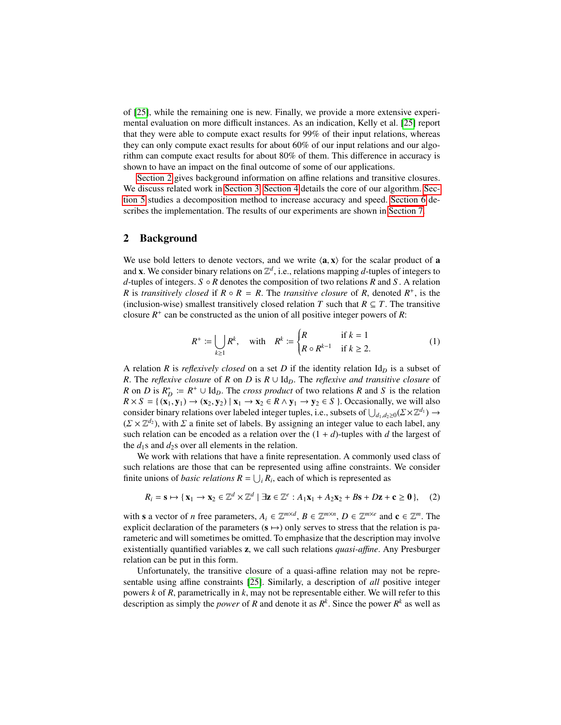of [25], while the remaining one is new. Finally, we provide a more extensive experimental evaluation on more difficult instances. As an indication, Kelly et al. [25] report that they were able to compute exact results for 99% of their input relations, whereas they can only compute exact results for about 60% of our input relations and our algorithm can compute exact results for about 80% of them. This difference in accuracy is shown to have an impact on the final outcome of some of our applications.

Section 2 gives background information on affine relations and transitive closures. We discuss related work in Section 3. Section 4 details the core of our algorithm. Section 5 studies a decomposition method to increase accuracy and speed. Section 6 describes the implementation. The results of our experiments are shown in Section 7.

#### 2 Background

We use bold letters to denote vectors, and we write  $\langle \mathbf{a}, \mathbf{x} \rangle$  for the scalar product of **a** and **x**. We consider binary relations on  $\mathbb{Z}^d$ , i.e., relations mapping d-tuples of integers to *d*-tuples of integers. *S* ◦ *R* denotes the composition of two relations *R* and *S* . A relation *R* is *transitively closed* if  $R \circ R = R$ . The *transitive closure* of *R*, denoted  $R^+$ , is the (inclusion-wise) smallest transitively closed relation *T* such that  $R \subseteq T$ . The transitive closure  $R^+$  can be constructed as the union of all positive integer powers of  $R$ :

$$
R^{+} := \bigcup_{k \geq 1} R^{k}, \quad \text{with} \quad R^{k} := \begin{cases} R & \text{if } k = 1 \\ R \circ R^{k-1} & \text{if } k \geq 2. \end{cases}
$$
 (1)

A relation *R* is *reflexively closed* on a set *D* if the identity relation  $Id<sub>D</sub>$  is a subset of *R*. The *reflexive closure* of *R* on *D* is  $R \cup \mathrm{Id}_D$ . The *reflexive and transitive closure* of *R* on *D* is  $R_D^* := R^+ \cup \text{Id}_D$ . The *cross product* of two relations *R* and *S* is the relation  $R \times S = \{ (\mathbf{x}_1, \mathbf{y}_1) \rightarrow (\mathbf{x}_2, \mathbf{y}_2) \mid \mathbf{x}_1 \rightarrow \mathbf{x}_2 \in R \land \mathbf{y}_1 \rightarrow \mathbf{y}_2 \in S \}$ . Occasionally, we will also consider binary relations over labeled integer tuples, i.e., subsets of  $\bigcup_{d_1, d_2 \ge 0} (\Sigma \times \mathbb{Z}^{d_1}) \to$ <br> $(\Sigma \times \mathbb{Z}^{d_2})$  with  $\Sigma$  a finite set of labels. By assigning an integer value to each label, any *d*<sub>1</sub>,*d*<sub>2</sub>( $\chi$   $\mathbb{Z}^d$ ), with  $\Sigma$  a finite set of labels. By assigning an integer value to each label, any such relation can be encoded as a relation over the  $(1 + d)$ -tuples with *d* the largest of such relation can be encoded as a relation over the  $(1 + d)$ -tuples with *d* the largest of the  $d_1$ s and  $d_2$ s over all elements in the relation.

We work with relations that have a finite representation. A commonly used class of such relations are those that can be represented using affine constraints. We consider finite unions of *basic relations*  $R = \bigcup_i R_i$ , each of which is represented as

$$
R_i = \mathbf{s} \mapsto \{ \mathbf{x}_1 \to \mathbf{x}_2 \in \mathbb{Z}^d \times \mathbb{Z}^d \mid \exists \mathbf{z} \in \mathbb{Z}^e : A_1 \mathbf{x}_1 + A_2 \mathbf{x}_2 + B \mathbf{s} + D \mathbf{z} + \mathbf{c} \ge \mathbf{0} \}, \quad (2)
$$

with s a vector of *n* free parameters,  $A_i \in \mathbb{Z}^{m \times d}$ ,  $B \in \mathbb{Z}^{m \times n}$ ,  $D \in \mathbb{Z}^{m \times e}$  and  $c \in \mathbb{Z}^m$ . The explicit declaration of the parameters  $(s \mapsto)$  only serves to stress that the relation is parameteric and will sometimes be omitted. To emphasize that the description may involve existentially quantified variables z, we call such relations *quasi-a*ffi*ne*. Any Presburger relation can be put in this form.

Unfortunately, the transitive closure of a quasi-affine relation may not be representable using affine constraints [25]. Similarly, a description of *all* positive integer powers *k* of *R*, parametrically in *k*, may not be representable either. We will refer to this description as simply the *power* of *R* and denote it as  $R^k$ . Since the power  $R^k$  as well as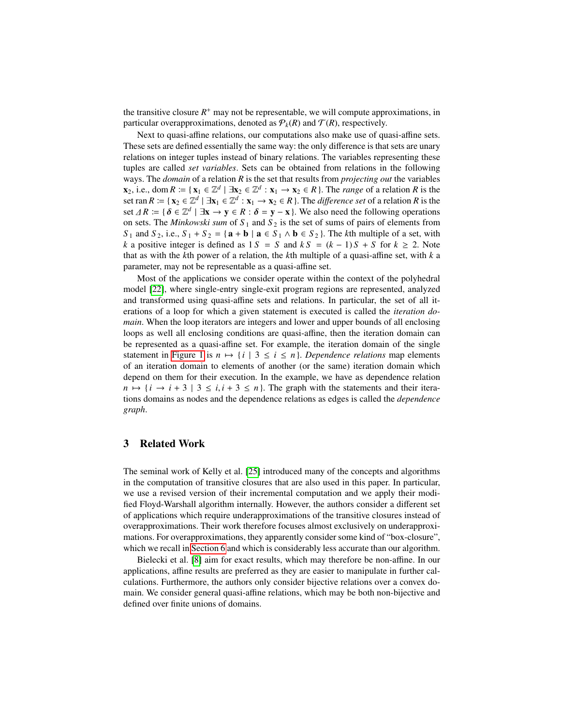the transitive closure  $R<sup>+</sup>$  may not be representable, we will compute approximations, in particular overapproximations, denoted as  $P_k(R)$  and  $T(R)$ , respectively.

Next to quasi-affine relations, our computations also make use of quasi-affine sets. These sets are defined essentially the same way: the only difference is that sets are unary relations on integer tuples instead of binary relations. The variables representing these tuples are called *set variables*. Sets can be obtained from relations in the following ways. The *domain* of a relation *R* is the set that results from *projecting out* the variables  $\mathbf{x}_2$ , i.e., dom  $R := \{ \mathbf{x}_1 \in \mathbb{Z}^d \mid \exists \mathbf{x}_2 \in \mathbb{Z}^d : \mathbf{x}_1 \to \mathbf{x}_2 \in R \}$ . The *range* of a relation R is the set ran  $R := \{ x_2 \in \mathbb{Z}^d \mid \exists x_1 \in \mathbb{Z}^d : x_1 \to x_2 \in R \}$ . The *difference set* of a relation R is the set  $\Delta R := \{ \delta \in \mathbb{Z}^d \mid \exists x \to y \in R : \delta = y - x \}.$  We also need the following operations on sets. The *Minkowski sum* of *S*<sub>1</sub> and *S*<sub>2</sub> is the set of sums of pairs of elements from on sets. The *Minkowski sum* of  $S_1$  and  $S_2$  is the set of sums of pairs of elements from *S*<sub>1</sub> and *S*<sub>2</sub>, i.e., *S*<sub>1</sub> + *S*<sub>2</sub> = { $\mathbf{a} + \mathbf{b} \mid \mathbf{a} \in S_1 \land \mathbf{b} \in S_2$ }. The *k*th multiple of a set, with *k* a positive integer is defined as  $1 S = S$  and  $k S = (k - 1) S + S$  for  $k \ge 2$ . Note that as with the *k*th power of a relation, the *k*th multiple of a quasi-affine set, with *k* a parameter, may not be representable as a quasi-affine set.

Most of the applications we consider operate within the context of the polyhedral model [22], where single-entry single-exit program regions are represented, analyzed and transformed using quasi-affine sets and relations. In particular, the set of all iterations of a loop for which a given statement is executed is called the *iteration domain*. When the loop iterators are integers and lower and upper bounds of all enclosing loops as well all enclosing conditions are quasi-affine, then the iteration domain can be represented as a quasi-affine set. For example, the iteration domain of the single statement in Figure 1 is  $n \mapsto \{i \mid 3 \le i \le n\}$ . *Dependence relations* map elements of an iteration domain to elements of another (or the same) iteration domain which depend on them for their execution. In the example, we have as dependence relation  $n \mapsto \{i \rightarrow i + 3 \mid 3 \leq i, i + 3 \leq n\}$ . The graph with the statements and their iterations domains as nodes and the dependence relations as edges is called the *dependence graph*.

# 3 Related Work

The seminal work of Kelly et al. [25] introduced many of the concepts and algorithms in the computation of transitive closures that are also used in this paper. In particular, we use a revised version of their incremental computation and we apply their modified Floyd-Warshall algorithm internally. However, the authors consider a different set of applications which require underapproximations of the transitive closures instead of overapproximations. Their work therefore focuses almost exclusively on underapproximations. For overapproximations, they apparently consider some kind of "box-closure", which we recall in Section 6 and which is considerably less accurate than our algorithm.

Bielecki et al. [8] aim for exact results, which may therefore be non-affine. In our applications, affine results are preferred as they are easier to manipulate in further calculations. Furthermore, the authors only consider bijective relations over a convex domain. We consider general quasi-affine relations, which may be both non-bijective and defined over finite unions of domains.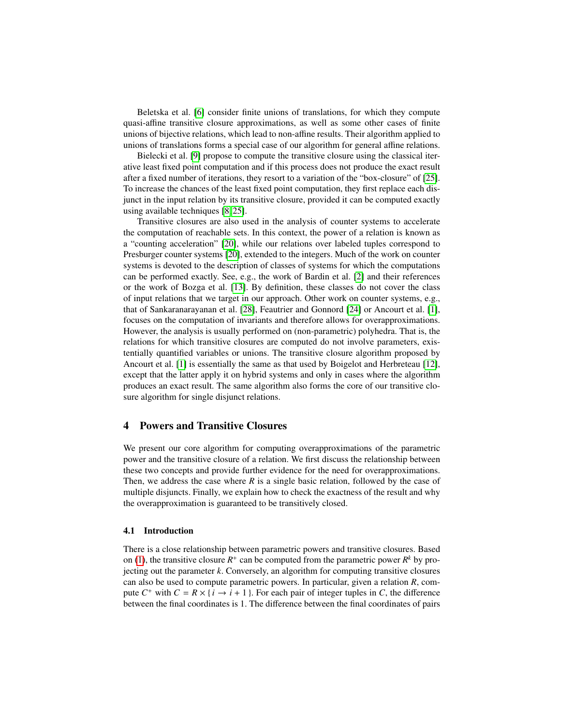Beletska et al. [6] consider finite unions of translations, for which they compute quasi-affine transitive closure approximations, as well as some other cases of finite unions of bijective relations, which lead to non-affine results. Their algorithm applied to unions of translations forms a special case of our algorithm for general affine relations.

Bielecki et al. [9] propose to compute the transitive closure using the classical iterative least fixed point computation and if this process does not produce the exact result after a fixed number of iterations, they resort to a variation of the "box-closure" of [25]. To increase the chances of the least fixed point computation, they first replace each disjunct in the input relation by its transitive closure, provided it can be computed exactly using available techniques [8, 25].

Transitive closures are also used in the analysis of counter systems to accelerate the computation of reachable sets. In this context, the power of a relation is known as a "counting acceleration" [20], while our relations over labeled tuples correspond to Presburger counter systems [20], extended to the integers. Much of the work on counter systems is devoted to the description of classes of systems for which the computations can be performed exactly. See, e.g., the work of Bardin et al. [2] and their references or the work of Bozga et al. [13]. By definition, these classes do not cover the class of input relations that we target in our approach. Other work on counter systems, e.g., that of Sankaranarayanan et al. [28], Feautrier and Gonnord [24] or Ancourt et al. [1], focuses on the computation of invariants and therefore allows for overapproximations. However, the analysis is usually performed on (non-parametric) polyhedra. That is, the relations for which transitive closures are computed do not involve parameters, existentially quantified variables or unions. The transitive closure algorithm proposed by Ancourt et al. [1] is essentially the same as that used by Boigelot and Herbreteau [12], except that the latter apply it on hybrid systems and only in cases where the algorithm produces an exact result. The same algorithm also forms the core of our transitive closure algorithm for single disjunct relations.

# 4 Powers and Transitive Closures

We present our core algorithm for computing overapproximations of the parametric power and the transitive closure of a relation. We first discuss the relationship between these two concepts and provide further evidence for the need for overapproximations. Then, we address the case where *R* is a single basic relation, followed by the case of multiple disjuncts. Finally, we explain how to check the exactness of the result and why the overapproximation is guaranteed to be transitively closed.

#### 4.1 Introduction

There is a close relationship between parametric powers and transitive closures. Based on (1), the transitive closure  $R^+$  can be computed from the parametric power  $R^k$  by projecting out the parameter *k*. Conversely, an algorithm for computing transitive closures can also be used to compute parametric powers. In particular, given a relation *R*, compute  $C^+$  with  $C = R \times \{i \rightarrow i + 1\}$ . For each pair of integer tuples in *C*, the difference between the final coordinates is 1. The difference between the final coordinates of pairs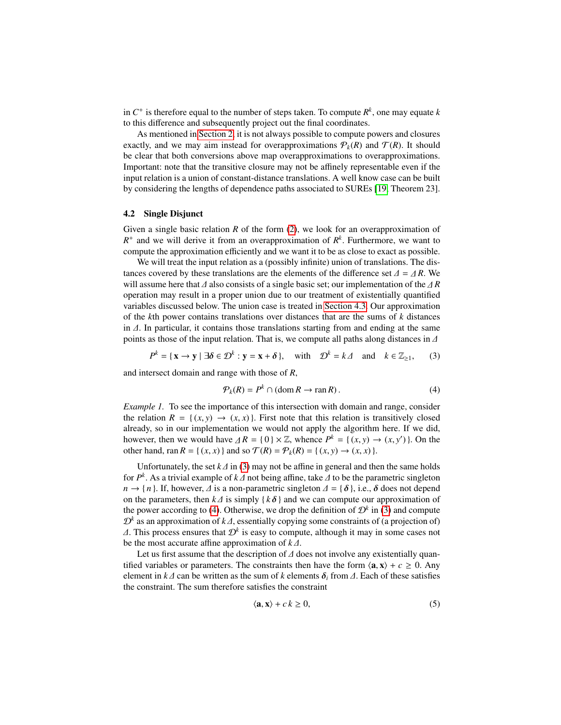in  $C^+$  is therefore equal to the number of steps taken. To compute  $R^k$ , one may equate  $k$ to this difference and subsequently project out the final coordinates.

As mentioned in Section 2, it is not always possible to compute powers and closures exactly, and we may aim instead for overapproximations  $P_k(R)$  and  $T(R)$ . It should be clear that both conversions above map overapproximations to overapproximations. Important: note that the transitive closure may not be affinely representable even if the input relation is a union of constant-distance translations. A well know case can be built by considering the lengths of dependence paths associated to SUREs [19, Theorem 23].

#### 4.2 Single Disjunct

Given a single basic relation *R* of the form (2), we look for an overapproximation of  $R^+$  and we will derive it from an overapproximation of  $R^k$ . Furthermore, we want to compute the approximation efficiently and we want it to be as close to exact as possible.

We will treat the input relation as a (possibly infinite) union of translations. The distances covered by these translations are the elements of the difference set  $\Delta = \Delta R$ . We will assume here that <sup>∆</sup> also consists of a single basic set; our implementation of the ∆ *<sup>R</sup>* operation may result in a proper union due to our treatment of existentially quantified variables discussed below. The union case is treated in Section 4.3. Our approximation of the *k*th power contains translations over distances that are the sums of *k* distances in ∆. In particular, it contains those translations starting from and ending at the same points as those of the input relation. That is, we compute all paths along distances in ∆

$$
P^k = \{ \mathbf{x} \to \mathbf{y} \mid \exists \delta \in \mathcal{D}^k : \mathbf{y} = \mathbf{x} + \delta \}, \quad \text{with} \quad \mathcal{D}^k = k \Delta \quad \text{and} \quad k \in \mathbb{Z}_{\ge 1}, \tag{3}
$$

and intersect domain and range with those of *R*,

$$
\mathcal{P}_k(R) = P^k \cap (\text{dom}\, R \to \text{ran}\, R). \tag{4}
$$

*Example 1.* To see the importance of this intersection with domain and range, consider the relation  $R = \{(x, y) \rightarrow (x, x)\}\$ . First note that this relation is transitively closed already, so in our implementation we would not apply the algorithm here. If we did, however, then we would have  $\Delta R = \{0\} \times \mathbb{Z}$ , whence  $P^k = \{(x, y) \to (x, y')\}$ . On the other hand ran  $R = \{(x, y)\}$  and so  $\mathcal{T}(R) = \mathcal{P}(R) = \{(x, y) \to (x, y)\}$ other hand, ran  $R = \{(x, x) \}$  and so  $\mathcal{T}(R) = \mathcal{P}_k(R) = \{(x, y) \to (x, x) \}.$ 

Unfortunately, the set  $k \Delta$  in (3) may not be affine in general and then the same holds for *P*<sup>k</sup>. As a trivial example of *k*Δ not being affine, take Δ to be the parametric singleton  $n \rightarrow \{n\}$ . If however  $\Lambda$  is a non-parametric singleton  $\Lambda = \{\delta\}$ , i.e.  $\delta$  does not depend  $n \rightarrow \{n\}$ . If, however,  $\Delta$  is a non-parametric singleton  $\Delta = \{\delta\}$ , i.e.,  $\delta$  does not depend on the parameters, then  $k \Delta$  is simply { $k \delta$ } and we can compute our approximation of the power according to (4). Otherwise, we drop the definition of  $\mathcal{D}^k$  in (3) and compute  $\mathcal{D}^k$  as an approximation of *k* ∆, essentially copying some constraints of (a projection of)  $\Lambda$ . This process ensures that  $\mathcal{D}^k$  is easy to compute, although it may in some cases not  $\Delta$ . This process ensures that  $\mathcal{D}^k$  is easy to compute, although it may in some cases not be the most accurate affine approximation of  $k \Lambda$ be the most accurate affine approximation of *<sup>k</sup>* ∆.

Let us first assume that the description of ∆ does not involve any existentially quantified variables or parameters. The constraints then have the form  $\langle \mathbf{a}, \mathbf{x} \rangle + c \geq 0$ . Any element in  $k\Delta$  can be written as the sum of k elements  $\delta_i$  from  $\Delta$ . Each of these satisfies the constraint. The sum therefore satisfies the constraint

$$
\langle \mathbf{a}, \mathbf{x} \rangle + c \, k \ge 0,\tag{5}
$$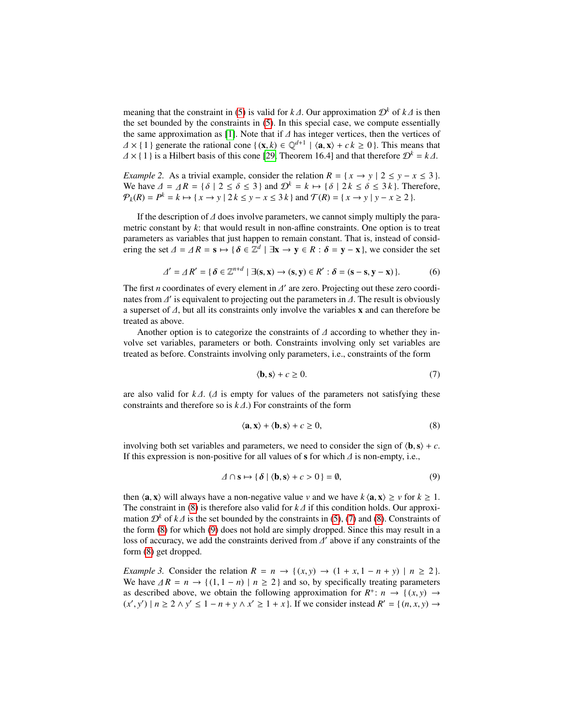meaning that the constraint in (5) is valid for  $k\Delta$ . Our approximation  $\mathcal{D}^k$  of  $k\Delta$  is then the set bounded by the constraints in (5). In this special case, we compute essentially the same approximation as [1]. Note that if ∆ has integer vertices, then the vertices of  $\Delta \times \{1\}$  generate the rational cone  $\{(\mathbf{x}, k) \in \mathbb{Q}^{d+1} \mid \langle \mathbf{a}, \mathbf{x} \rangle + c k \ge 0\}$ . This means that  $\Delta \times 11$  is a Hilbert basis of this cone [29] Theorem 16.41 and that therefore  $\mathcal{D}^k = k \Delta$  $\Delta \times \{1\}$  is a Hilbert basis of this cone [29, Theorem 16.4] and that therefore  $\mathcal{D}^k = k\Delta$ .

*Example 2.* As a trivial example, consider the relation  $R = \{x \rightarrow y \mid 2 \le y - x \le 3\}$ . We have  $\Delta = \Delta R = \{ \delta \mid 2 \leq \delta \leq 3 \}$  and  $\mathcal{D}^k = k \mapsto \{ \delta \mid 2k \leq \delta \leq 3k \}$ . Therefore,  $\mathcal{P}_k(R) = P^k = k \mapsto \{x \to y \mid 2k \le y - x \le 3k\}$  and  $\mathcal{T}(R) = \{x \to y \mid y - x \ge 2\}$ .

If the description of ∆ does involve parameters, we cannot simply multiply the parametric constant by *k*: that would result in non-affine constraints. One option is to treat parameters as variables that just happen to remain constant. That is, instead of considering the set  $\Delta = \Delta R = s \mapsto {\delta \in \mathbb{Z}^d \mid \exists x \to y \in R : \delta = y - x}$ , we consider the set

$$
\varDelta' = \varDelta R' = \{ \delta \in \mathbb{Z}^{n+d} \mid \exists (s, x) \to (s, y) \in R' : \delta = (s - s, y - x) \}.
$$
 (6)

The first *n* coordinates of every element in  $\Delta'$  are zero. Projecting out these zero coordinates from  $\Delta'$  is equivalent to projecting out the parameters in  $\Delta$ . The result is obviously nates from  $\Delta'$  is equivalent to projecting out the parameters in  $\Delta$ . The result is obviously a superset of  $\Delta$  but all its constraints only involve the variables x and can therefore be a superset of ∆, but all its constraints only involve the variables <sup>x</sup> and can therefore be treated as above.

Another option is to categorize the constraints of ∆ according to whether they involve set variables, parameters or both. Constraints involving only set variables are treated as before. Constraints involving only parameters, i.e., constraints of the form

$$
\langle \mathbf{b}, \mathbf{s} \rangle + c \ge 0. \tag{7}
$$

are also valid for *<sup>k</sup>* ∆. (∆ is empty for values of the parameters not satisfying these constraints and therefore so is *<sup>k</sup>* ∆.) For constraints of the form

$$
\langle \mathbf{a}, \mathbf{x} \rangle + \langle \mathbf{b}, \mathbf{s} \rangle + c \ge 0,\tag{8}
$$

involving both set variables and parameters, we need to consider the sign of  $\langle \mathbf{b}, \mathbf{s} \rangle + c$ . If this expression is non-positive for all values of s for which  $\Delta$  is non-empty, i.e.,

$$
\Delta \cap \mathbf{s} \mapsto \{ \delta \mid \langle \mathbf{b}, \mathbf{s} \rangle + c > 0 \} = \emptyset,
$$
\n(9)

then  $\langle \mathbf{a}, \mathbf{x} \rangle$  will always have a non-negative value *v* and we have  $k \langle \mathbf{a}, \mathbf{x} \rangle \ge v$  for  $k \ge 1$ . The constraint in (8) is therefore also valid for *<sup>k</sup>* ∆ if this condition holds. Our approximation  $\mathcal{D}^k$  of  $k\Delta$  is the set bounded by the constraints in (5), (7) and (8). Constraints of the form (8) for which (9) does not hold are simply dropped. Since this may result in a loss of accuracy, we add the constraints derived from  $\Delta'$  above if any constraints of the form  $(8)$  get dropped form (8) get dropped.

*Example 3.* Consider the relation  $R = n \rightarrow \{(x, y) \rightarrow (1 + x, 1 - n + y) \mid n \ge 2\}$ . We have  $\Delta R = n \rightarrow \{(1, 1 - n) \mid n \geq 2\}$  and so, by specifically treating parameters as described above, we obtain the following approximation for  $R^+$ :  $n \to \{(x, y) \to (x', y') \mid n > 2 \land y' < 1 - n + y \land x' > 1 + x\}$  If we consider instead  $R' = \{(n, x, y) \to (x', y')\}$  $(x', y') \mid n \ge 2 \land y' \le 1 - n + y \land x' \ge 1 + x$ . If we consider instead  $R' = \{(n, x, y) \rightarrow$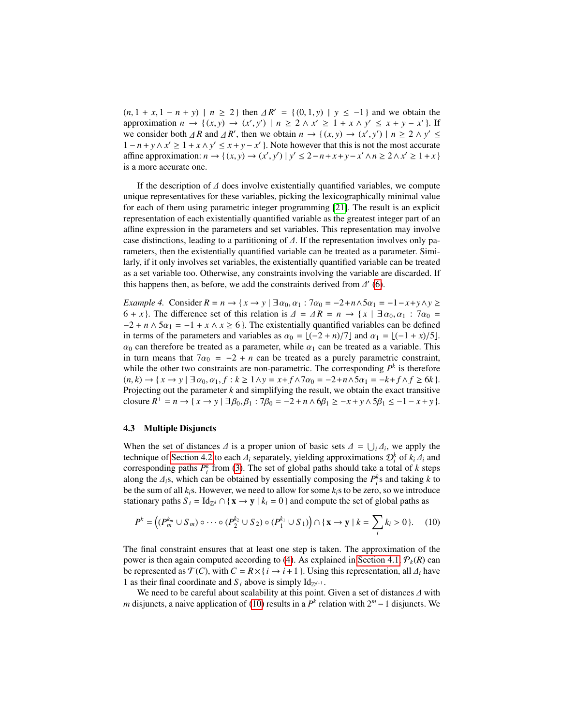$(n, 1 + x, 1 - n + y) \mid n \ge 2$  } then  $\Delta R' = \{(0, 1, y) \mid y \le -1\}$  and we obtain the approximation  $n \to \{(x, y) \to (x', y') \mid n > 2 \land x' > 1 + x \land y' < x + y = x'\}$  If approximation  $n \to \{(x, y) \to (x', y') \mid n \ge 2 \land x' \ge 1 + x \land y' \le x + y - x'\}$ . If we consider both  $\Delta R$  and  $\Delta R'$ , then we obtain  $n \to \{(x, y) \to (x', y') \mid n \ge 2 \land y' \le 1 - n + y \land y' > 1 + x \land y' < x + y - x'\}$ . Note however that this is not the most accurate  $1 - n + y \wedge x' \geq 1 + x \wedge y' \leq x + y - x'$ . Note however that this is not the most accurate affine approximation:  $n \to \{(x, y) \to (x', y') \mid y' \leq 2 - n + x + y - x' \land n \geq 2 \land x' \geq 1 + x\}$ is a more accurate one.

If the description of  $\Delta$  does involve existentially quantified variables, we compute unique representatives for these variables, picking the lexicographically minimal value for each of them using parametric integer programming [21]. The result is an explicit representation of each existentially quantified variable as the greatest integer part of an affine expression in the parameters and set variables. This representation may involve case distinctions, leading to a partitioning of ∆. If the representation involves only parameters, then the existentially quantified variable can be treated as a parameter. Similarly, if it only involves set variables, the existentially quantified variable can be treated as a set variable too. Otherwise, any constraints involving the variable are discarded. If this happens then, as before, we add the constraints derived from  $\Delta'$  (6).

*Example 4.* Consider  $R = n \rightarrow \{x \rightarrow y \mid \exists \alpha_0, \alpha_1 : 7\alpha_0 = -2 + n \land 5\alpha_1 = -1 - x + y \land y \ge 0\}$ 6 + *x* }. The difference set of this relation is  $\Delta = \Delta R = n \rightarrow \{x \mid \exists \alpha_0, \alpha_1 : \exists \alpha_0 =$  $-2 + n \wedge 5\alpha_1 = -1 + x \wedge x \ge 6$ . The existentially quantified variables can be defined in terms of the parameters and variables as  $\alpha_0 = \lfloor (-2 + n)/7 \rfloor$  and  $\alpha_1 = \lfloor (-1 + x)/5 \rfloor$ .  $\alpha_0$  can therefore be treated as a parameter, while  $\alpha_1$  can be treated as a variable. This in turn means that  $7\alpha_0 = -2 + n$  can be treated as a purely parametric constraint, while the other two constraints are non-parametric. The corresponding  $P^k$  is therefore  $(n, k)$  → { $x$  →  $y$  | ∃ $\alpha_0, \alpha_1, f : k \ge 1 \land y = x + f \land 7\alpha_0 = -2 + n \land 5\alpha_1 = -k + f \land f \ge 6k$  }. Projecting out the parameter *k* and simplifying the result, we obtain the exact transitive closure  $R^+ = n \to \{x \to y \mid \exists \beta_0, \beta_1 : 7\beta_0 = -2 + n \land 6\beta_1 \ge -x + y \land 5\beta_1 \le -1 - x + y\}.$ 

#### 4.3 Multiple Disjuncts

When the set of distances  $\Delta$  is a proper union of basic sets  $\Delta = \bigcup_i \Delta_i$ , we apply the technique of Section 4.2 to each  $\Delta_i$  separately vielding approximations  $\mathcal{D}^k$  of  $k, \Delta_i$  and *i* ∆*i* technique of Section 4.2 to each <sup>∆</sup>*<sup>i</sup>* separately, yielding approximations <sup>D</sup>*<sup>k</sup> i* of *<sup>k</sup><sup>i</sup>* <sup>∆</sup>*<sup>i</sup>* and corresponding paths  $P_i^k$  from (3). The set of global paths should take a total of  $k$  steps along the  $\Delta_i$ s, which can be obtained by essentially composing the  $P_i^k$ s and taking *k* to be the sum of all *k* is. However, we need to allow for some *k* is to be zero, so we introduce be the sum of all  $k_i$ s. However, we need to allow for some  $k_i$ s to be zero, so we introduce stationary paths  $S_i = \text{Id}_{\mathbb{Z}^d} \cap {\mathbf{x} \to \mathbf{y} \mid k_i = 0}$  and compute the set of global paths as

$$
P^k = \left( (P_m^{k_m} \cup S_m) \circ \cdots \circ (P_2^{k_2} \cup S_2) \circ (P_1^{k_1} \cup S_1) \right) \cap \{ \mathbf{x} \to \mathbf{y} \mid k = \sum_i k_i > 0 \}.
$$
 (10)

The final constraint ensures that at least one step is taken. The approximation of the power is then again computed according to (4). As explained in Section 4.1,  $\mathcal{P}_k(R)$  can be represented as  $\mathcal{T}(C)$ , with  $C = R \times \{i \to i+1\}$ . Using this representation, all  $\Delta_i$  have 1 as their final coordinate and  $S_i$  above is simply  $Id_{\mathbb{Z}^{d+1}}$ .

We need to be careful about scalability at this point. Given a set of distances ∆ with *m* disjuncts, a naive application of (10) results in a  $P<sup>k</sup>$  relation with  $2<sup>m</sup> - 1$  disjuncts. We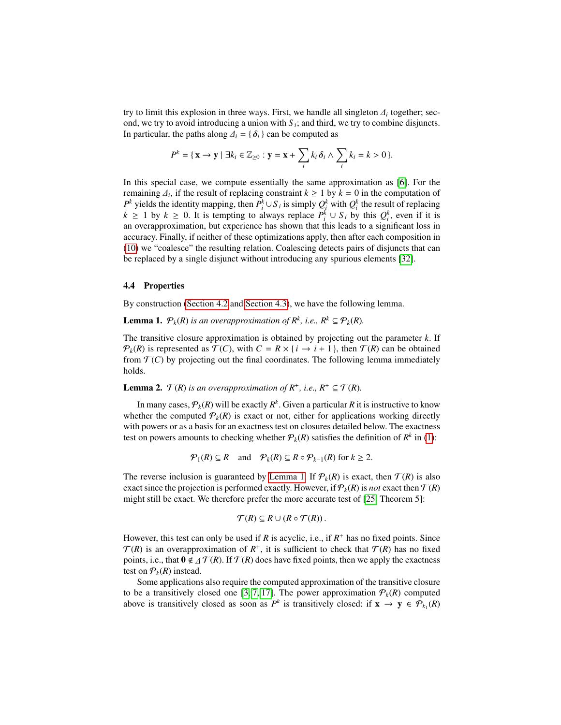try to limit this explosion in three ways. First, we handle all singleton  $\Delta_i$  together; sec-<br>ond we try to avoid introducing a union with S∴ and third, we try to combine disjuncts ond, we try to avoid introducing a union with  $S_i$ ; and third, we try to combine disjuncts. In particular, the paths along  $\Delta_i = {\delta_i}$  can be computed as

$$
P^{k} = \{ \mathbf{x} \rightarrow \mathbf{y} \mid \exists k_{i} \in \mathbb{Z}_{\geq 0} : \mathbf{y} = \mathbf{x} + \sum_{i} k_{i} \,\delta_{i} \wedge \sum_{i} k_{i} = k > 0 \}.
$$

In this special case, we compute essentially the same approximation as [6]. For the remaining  $\Delta_i$ , if the result of replacing constraint  $k \ge 1$  by  $k = 0$  in the computation of  $P^k$  vields the identity manning then  $P^k \cup S$ , is simply  $Q^k$  with  $Q^k$  the result of replacing *P*<sup>*k*</sup> yields the identity mapping, then *P*<sup>*k*</sup></sup> ∪ *S*<sup>*i*</sup> is simply  $Q_i^k$  with  $Q_i^k$  the result of replacing *k* ≥ 1 by *k* ≥ 0. It is tempting to always replace  $P_i^k \cup S_i$  by this  $Q_i^k$ , even if it is an overapproximation, but experience has shown that this leads to a significant loss in accuracy. Finally, if neither of these optimizations apply, then after each composition in (10) we "coalesce" the resulting relation. Coalescing detects pairs of disjuncts that can be replaced by a single disjunct without introducing any spurious elements [32].

#### 4.4 Properties

By construction (Section 4.2 and Section 4.3), we have the following lemma.

**Lemma 1.**  $\mathcal{P}_k(R)$  *is an overapproximation of*  $R^k$ *, i.e.,*  $R^k \subseteq \mathcal{P}_k(R)$ *.* 

The transitive closure approximation is obtained by projecting out the parameter *k*. If  $\mathcal{P}_k(R)$  is represented as  $\mathcal{T}(C)$ , with  $C = R \times \{i \to i+1\}$ , then  $\mathcal{T}(R)$  can be obtained from  $\mathcal{T}(C)$  by projecting out the final coordinates. The following lemma immediately holds.

**Lemma 2.**  $\mathcal{T}(R)$  *is an overapproximation of*  $R^+$ *, i.e.,*  $R^+ \subseteq \mathcal{T}(R)$ *.* 

In many cases,  $\mathcal{P}_k(R)$  will be exactly  $R^k.$  Given a particular  $R$  it is instructive to know whether the computed  $P_k(R)$  is exact or not, either for applications working directly with powers or as a basis for an exactness test on closures detailed below. The exactness test on powers amounts to checking whether  $P_k(R)$  satisfies the definition of  $R^k$  in (1):

$$
\mathcal{P}_1(R) \subseteq R \quad \text{and} \quad \mathcal{P}_k(R) \subseteq R \circ \mathcal{P}_{k-1}(R) \text{ for } k \ge 2.
$$

The reverse inclusion is guaranteed by Lemma 1. If  $P_k(R)$  is exact, then  $T(R)$  is also exact since the projection is performed exactly. However, if  $\mathcal{P}_k(R)$  is *not* exact then  $\mathcal{T}(R)$ might still be exact. We therefore prefer the more accurate test of [25, Theorem 5]:

$$
\mathcal{T}(R) \subseteq R \cup (R \circ \mathcal{T}(R)).
$$

However, this test can only be used if  $R$  is acyclic, i.e., if  $R^+$  has no fixed points. Since  $\mathcal{T}(R)$  is an overapproximation of  $R^+$ , it is sufficient to check that  $\mathcal{T}(R)$  has no fixed points, i.e., that  $0 \notin \mathcal{AT}(R)$ . If  $\mathcal{T}(R)$  does have fixed points, then we apply the exactness test on  $P_k(R)$  instead.

Some applications also require the computed approximation of the transitive closure to be a transitively closed one [3, 7, 17]. The power approximation  $P_k(R)$  computed above is transitively closed as soon as  $P^k$  is transitively closed: if  $\mathbf{x} \to \mathbf{y} \in \mathcal{P}_{k_1}(R)$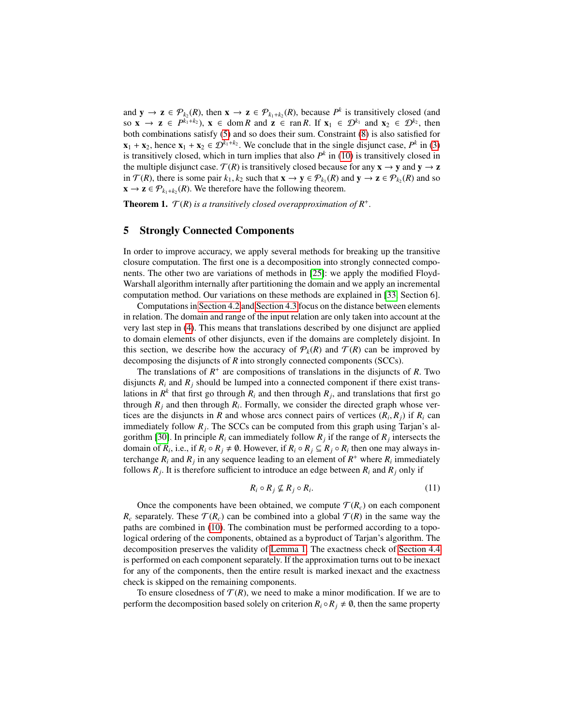and  $y \to z \in \mathcal{P}_{k_2}(R)$ , then  $x \to z \in \mathcal{P}_{k_1+k_2}(R)$ , because  $P^k$  is transitively closed (and so  $\mathbf{x} \to \mathbf{z} \in P^{k_1+k_2}$ ,  $\mathbf{x} \in \text{dom } R$  and  $\mathbf{z} \in \text{ran } R$ . If  $\mathbf{x}_1 \in \mathcal{D}^{k_1}$  and  $\mathbf{x}_2 \in \mathcal{D}^{k_2}$ , then both combinations satisfy (5) and so does their sum. Constraint (8) is also satisfied for  $\mathbf{x}_1 + \mathbf{x}_2$ , hence  $\mathbf{x}_1 + \mathbf{x}_2 \in \mathcal{D}^{k_1 + k_2}$ . We conclude that in the single disjunct case,  $P^k$  in (3) is transitively closed, which in turn implies that also  $P<sup>k</sup>$  in (10) is transitively closed in the multiple disjunct case.  $\mathcal{T}(R)$  is transitively closed because for any  $\mathbf{x} \to \mathbf{y}$  and  $\mathbf{y} \to \mathbf{z}$ in  $\mathcal{T}(R)$ , there is some pair  $k_1, k_2$  such that  $\mathbf{x} \to \mathbf{y} \in \mathcal{P}_{k_1}(R)$  and  $\mathbf{y} \to \mathbf{z} \in \mathcal{P}_{k_2}(R)$  and so  $\mathbf{x} \to \mathbf{z} \in \mathcal{P}_{k_2}(R)$ . *(R)* We therefore have the following theorem  $\mathbf{x} \to \mathbf{z} \in \mathcal{P}_{k_1+k_2}(R)$ . We therefore have the following theorem.

**Theorem 1.**  $\mathcal{T}(R)$  *is a transitively closed overapproximation of*  $R^+$ *.* 

# 5 Strongly Connected Components

In order to improve accuracy, we apply several methods for breaking up the transitive closure computation. The first one is a decomposition into strongly connected components. The other two are variations of methods in [25]: we apply the modified Floyd-Warshall algorithm internally after partitioning the domain and we apply an incremental computation method. Our variations on these methods are explained in [33, Section 6].

Computations in Section 4.2 and Section 4.3 focus on the distance between elements in relation. The domain and range of the input relation are only taken into account at the very last step in (4). This means that translations described by one disjunct are applied to domain elements of other disjuncts, even if the domains are completely disjoint. In this section, we describe how the accuracy of  $P_k(R)$  and  $T(R)$  can be improved by decomposing the disjuncts of *R* into strongly connected components (SCCs).

The translations of  $R^+$  are compositions of translations in the disjuncts of  $R$ . Two disjuncts  $R_i$  and  $R_j$  should be lumped into a connected component if there exist translations in  $R^k$  that first go through  $R_i$  and then through  $R_j$ , and translations that first go through  $R_j$  and then through  $R_i$ . Formally, we consider the directed graph whose vertices are the disjuncts in *R* and whose arcs connect pairs of vertices  $(R_i, R_j)$  if  $R_i$  can<br>immediately follow *R*. The SCCs can be computed from this graph using Tarian's alimmediately follow  $R_j$ . The SCCs can be computed from this graph using Tarjan's algorithm [30]. In principle  $R_i$  can immediately follow  $R_j$  if the range of  $R_j$  intersects the domain of  $R_i$ , i.e., if  $R_i \circ R_j \neq \emptyset$ . However, if  $R_i \circ R_j \subseteq R_j \circ R_i$  then one may always interchange  $R_i$  and  $R_j$  in any sequence leading to an element of  $R^+$  where  $R_i$  immediately follows  $R_j$ . It is therefore sufficient to introduce an edge between  $R_i$  and  $R_j$  only if

$$
R_i \circ R_j \nsubseteq R_j \circ R_i. \tag{11}
$$

Once the components have been obtained, we compute  $\mathcal{T}(R_c)$  on each component  $R_c$  separately. These  $\mathcal{T}(R_c)$  can be combined into a global  $\mathcal{T}(R)$  in the same way the paths are combined in (10). The combination must be performed according to a topological ordering of the components, obtained as a byproduct of Tarjan's algorithm. The decomposition preserves the validity of Lemma 1. The exactness check of Section 4.4 is performed on each component separately. If the approximation turns out to be inexact for any of the components, then the entire result is marked inexact and the exactness check is skipped on the remaining components.

To ensure closedness of  $\mathcal{T}(R)$ , we need to make a minor modification. If we are to perform the decomposition based solely on criterion  $R_i \circ R_j \neq \emptyset$ , then the same property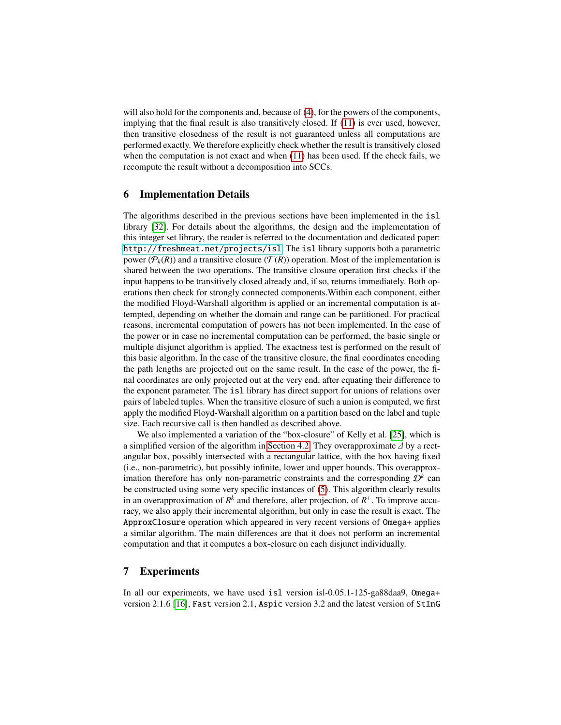will also hold for the components and, because of (4), for the powers of the components, implying that the final result is also transitively closed. If (11) is ever used, however, then transitive closedness of the result is not guaranteed unless all computations are performed exactly. We therefore explicitly check whether the result is transitively closed when the computation is not exact and when (11) has been used. If the check fails, we recompute the result without a decomposition into SCCs.

## 6 Implementation Details

The algorithms described in the previous sections have been implemented in the isl library [32]. For details about the algorithms, the design and the implementation of this integer set library, the reader is referred to the documentation and dedicated paper: <http://freshmeat.net/projects/isl>. The isl library supports both a parametric power ( $\mathcal{P}_k(R)$ ) and a transitive closure ( $\mathcal{T}(R)$ ) operation. Most of the implementation is shared between the two operations. The transitive closure operation first checks if the input happens to be transitively closed already and, if so, returns immediately. Both operations then check for strongly connected components.Within each component, either the modified Floyd-Warshall algorithm is applied or an incremental computation is attempted, depending on whether the domain and range can be partitioned. For practical reasons, incremental computation of powers has not been implemented. In the case of the power or in case no incremental computation can be performed, the basic single or multiple disjunct algorithm is applied. The exactness test is performed on the result of this basic algorithm. In the case of the transitive closure, the final coordinates encoding the path lengths are projected out on the same result. In the case of the power, the final coordinates are only projected out at the very end, after equating their difference to the exponent parameter. The isl library has direct support for unions of relations over pairs of labeled tuples. When the transitive closure of such a union is computed, we first apply the modified Floyd-Warshall algorithm on a partition based on the label and tuple size. Each recursive call is then handled as described above.

We also implemented a variation of the "box-closure" of Kelly et al. [25], which is a simplified version of the algorithm in Section 4.2. They overapproximate ∆ by a rectangular box, possibly intersected with a rectangular lattice, with the box having fixed (i.e., non-parametric), but possibly infinite, lower and upper bounds. This overapproximation therefore has only non-parametric constraints and the corresponding  $\mathcal{D}^k$  can be constructed using some very specific instances of (5). This algorithm clearly results in an overapproximation of  $R^k$  and therefore, after projection, of  $R^+$ . To improve accuracy, we also apply their incremental algorithm, but only in case the result is exact. The ApproxClosure operation which appeared in very recent versions of Omega+ applies a similar algorithm. The main differences are that it does not perform an incremental computation and that it computes a box-closure on each disjunct individually.

## 7 Experiments

In all our experiments, we have used isl version isl-0.05.1-125-ga88daa9, Omega+ version 2.1.6 [16], Fast version 2.1, Aspic version 3.2 and the latest version of StInG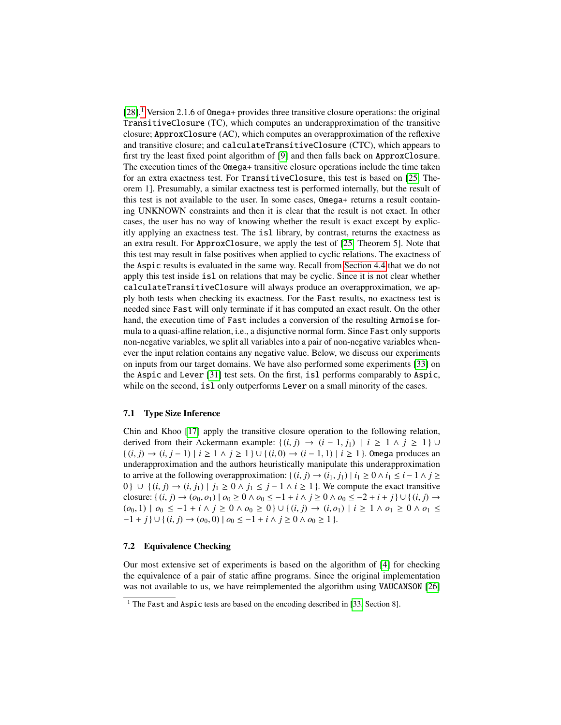$[28]$ .<sup>1</sup> Version 2.1.6 of Omega+ provides three transitive closure operations: the original TransitiveClosure (TC), which computes an underapproximation of the transitive closure; ApproxClosure (AC), which computes an overapproximation of the reflexive and transitive closure; and calculateTransitiveClosure (CTC), which appears to first try the least fixed point algorithm of [9] and then falls back on ApproxClosure. The execution times of the Omega+ transitive closure operations include the time taken for an extra exactness test. For TransitiveClosure, this test is based on [25, Theorem 1]. Presumably, a similar exactness test is performed internally, but the result of this test is not available to the user. In some cases, Omega+ returns a result containing UNKNOWN constraints and then it is clear that the result is not exact. In other cases, the user has no way of knowing whether the result is exact except by explicitly applying an exactness test. The isl library, by contrast, returns the exactness as an extra result. For ApproxClosure, we apply the test of [25, Theorem 5]. Note that this test may result in false positives when applied to cyclic relations. The exactness of the Aspic results is evaluated in the same way. Recall from Section 4.4 that we do not apply this test inside isl on relations that may be cyclic. Since it is not clear whether calculateTransitiveClosure will always produce an overapproximation, we apply both tests when checking its exactness. For the Fast results, no exactness test is needed since Fast will only terminate if it has computed an exact result. On the other hand, the execution time of Fast includes a conversion of the resulting Armoise formula to a quasi-affine relation, i.e., a disjunctive normal form. Since Fast only supports non-negative variables, we split all variables into a pair of non-negative variables whenever the input relation contains any negative value. Below, we discuss our experiments on inputs from our target domains. We have also performed some experiments [33] on the Aspic and Lever [31] test sets. On the first, isl performs comparably to Aspic, while on the second, isl only outperforms Lever on a small minority of the cases.

#### 7.1 Type Size Inference

Chin and Khoo [17] apply the transitive closure operation to the following relation, derived from their Ackermann example:  $\{(i, j) \rightarrow (i - 1, j_1) \mid i \ge 1 \land j \ge 1\}$  ∪ { $(i, j)$  →  $(i, j - 1) | i \ge 1 \land j \ge 1$  } ∪ { $(i, 0)$  →  $(i - 1, 1) | i \ge 1$  }. Omega produces an underapproximation and the authors heuristically manipulate this underapproximation to arrive at the following overapproximation:  $\{(i, j) \rightarrow (i_1, j_1) | i_1 \geq 0 \land i_1 \leq i-1 \land j \geq 0\}$ 0} ∪ { $(i, j)$  →  $(i, j_1)$  |  $j_1 \ge 0 \land j_1 \le j - 1 \land i \ge 1$ }. We compute the exact transitive closure: {  $(i, j)$  →  $(o_0, o_1) | o_0 \ge 0 \land o_0 \le -1 + i \land j \ge 0 \land o_0 \le -2 + i + j$  } ∪ { $(i, j)$  → (*o*<sup>0</sup>, 1) <sup>|</sup> *<sup>o</sup>*<sup>0</sup> ≤ −<sup>1</sup> <sup>+</sup> *<sup>i</sup>* <sup>∧</sup> *<sup>j</sup>* <sup>≥</sup> <sup>0</sup> <sup>∧</sup> *<sup>o</sup>*<sup>0</sup> <sup>≥</sup> <sup>0</sup> } ∪ { (*i*, *<sup>j</sup>*) <sup>→</sup> (*i*, *<sup>o</sup>*1) <sup>|</sup> *<sup>i</sup>* <sup>≥</sup> <sup>1</sup> <sup>∧</sup> *<sup>o</sup>*<sup>1</sup> <sup>≥</sup> <sup>0</sup> <sup>∧</sup> *<sup>o</sup>*<sup>1</sup> <sup>≤</sup>  $-1 + j$  }  $\cup$  {  $(i, j) \rightarrow (o_0, 0)$  |  $o_0 \le -1 + i \land j \ge 0 \land o_0 \ge 1$  }.

#### 7.2 Equivalence Checking

Our most extensive set of experiments is based on the algorithm of [4] for checking the equivalence of a pair of static affine programs. Since the original implementation was not available to us, we have reimplemented the algorithm using VAUCANSON [26]

<sup>&</sup>lt;sup>1</sup> The Fast and Aspic tests are based on the encoding described in [33, Section 8].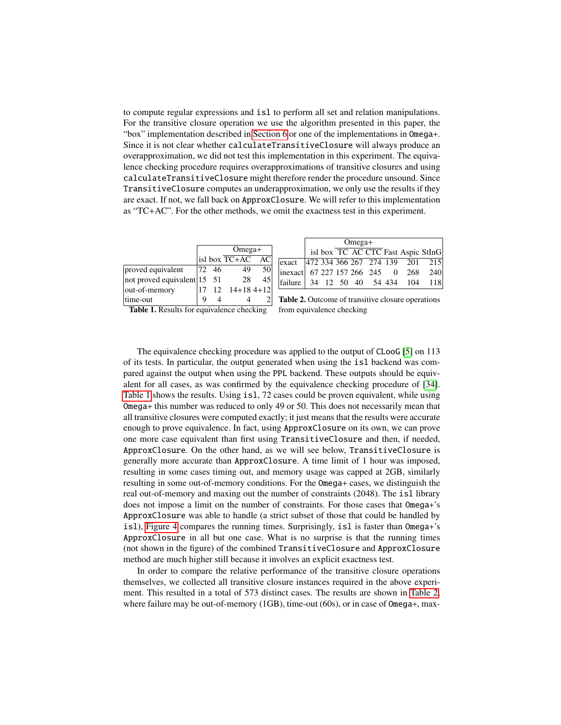to compute regular expressions and isl to perform all set and relation manipulations. For the transitive closure operation we use the algorithm presented in this paper, the "box" implementation described in Section 6 or one of the implementations in Omega+. Since it is not clear whether calculateTransitiveClosure will always produce an overapproximation, we did not test this implementation in this experiment. The equivalence checking procedure requires overapproximations of transitive closures and using calculateTransitiveClosure might therefore render the procedure unsound. Since TransitiveClosure computes an underapproximation, we only use the results if they are exact. If not, we fall back on ApproxClosure. We will refer to this implementation as "TC+AC". For the other methods, we omit the exactness test in this experiment.

|                                     |     | $Omega+$ |                             |    |  |  |  |  |  |
|-------------------------------------|-----|----------|-----------------------------|----|--|--|--|--|--|
|                                     |     |          | isl box TC+AC               |    |  |  |  |  |  |
| proved equivalent                   | 172 | 46       | 49                          |    |  |  |  |  |  |
| not proved equivalent $15 \quad 51$ |     |          | 28                          | 45 |  |  |  |  |  |
| out-of-memory                       |     |          | $12 \quad 14+18 \quad 4+12$ |    |  |  |  |  |  |
| time-out                            |     |          |                             |    |  |  |  |  |  |

|                                        |  | $Omega+$ |  |  |                                    |
|----------------------------------------|--|----------|--|--|------------------------------------|
|                                        |  |          |  |  | isl box TC AC CTC Fast Aspic StInG |
| exact  472 334 366 267 274 139 201 215 |  |          |  |  |                                    |
| inexact 67 227 157 266 245 0 268 240   |  |          |  |  |                                    |
| failure 34 12 50 40 54 434 104 118     |  |          |  |  |                                    |

Table 1. Results for equivalence checking

Table 2. Outcome of transitive closure operations from equivalence checking

The equivalence checking procedure was applied to the output of CLooG [5] on 113 of its tests. In particular, the output generated when using the isl backend was compared against the output when using the PPL backend. These outputs should be equivalent for all cases, as was confirmed by the equivalence checking procedure of [34]. Table 1 shows the results. Using isl, 72 cases could be proven equivalent, while using Omega+ this number was reduced to only 49 or 50. This does not necessarily mean that all transitive closures were computed exactly; it just means that the results were accurate enough to prove equivalence. In fact, using ApproxClosure on its own, we can prove one more case equivalent than first using TransitiveClosure and then, if needed, ApproxClosure. On the other hand, as we will see below, TransitiveClosure is generally more accurate than ApproxClosure. A time limit of 1 hour was imposed, resulting in some cases timing out, and memory usage was capped at 2GB, similarly resulting in some out-of-memory conditions. For the Omega+ cases, we distinguish the real out-of-memory and maxing out the number of constraints (2048). The isl library does not impose a limit on the number of constraints. For those cases that Omega+'s ApproxClosure was able to handle (a strict subset of those that could be handled by isl), Figure 4 compares the running times. Surprisingly, isl is faster than Omega+'s ApproxClosure in all but one case. What is no surprise is that the running times (not shown in the figure) of the combined TransitiveClosure and ApproxClosure method are much higher still because it involves an explicit exactness test.

In order to compare the relative performance of the transitive closure operations themselves, we collected all transitive closure instances required in the above experiment. This resulted in a total of 573 distinct cases. The results are shown in Table 2, where failure may be out-of-memory (1GB), time-out (60s), or in case of 0mega+, max-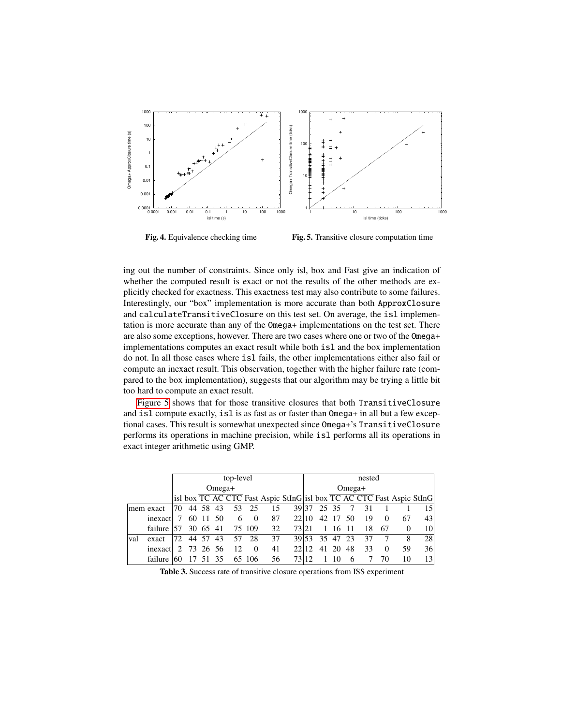

Fig. 4. Equivalence checking time

Fig. 5. Transitive closure computation time

ing out the number of constraints. Since only isl, box and Fast give an indication of whether the computed result is exact or not the results of the other methods are explicitly checked for exactness. This exactness test may also contribute to some failures. Interestingly, our "box" implementation is more accurate than both ApproxClosure and calculateTransitiveClosure on this test set. On average, the isl implementation is more accurate than any of the Omega+ implementations on the test set. There are also some exceptions, however. There are two cases where one or two of the Omega+ implementations computes an exact result while both isl and the box implementation do not. In all those cases where isl fails, the other implementations either also fail or compute an inexact result. This observation, together with the higher failure rate (compared to the box implementation), suggests that our algorithm may be trying a little bit too hard to compute an exact result.

Figure 5 shows that for those transitive closures that both TransitiveClosure and isl compute exactly, isl is as fast as or faster than Omega+ in all but a few exceptional cases. This result is somewhat unexpected since Omega+'s TransitiveClosure performs its operations in machine precision, while isl performs all its operations in exact integer arithmetic using GMP.

|     |             | top-level |  |          |          |    |          |    |                                                                       | nested |             |       |      |    |          |          |                 |
|-----|-------------|-----------|--|----------|----------|----|----------|----|-----------------------------------------------------------------------|--------|-------------|-------|------|----|----------|----------|-----------------|
|     |             | $Omega+$  |  |          |          |    |          |    | $Omega+$                                                              |        |             |       |      |    |          |          |                 |
|     |             |           |  |          |          |    |          |    | isl box TC AC CTC Fast Aspic StInG isl box TC AC CTC Fast Aspic StInG |        |             |       |      |    |          |          |                 |
|     | mem exact   | 170       |  |          | 44 58 43 | 53 | - 25     | 15 | 39 37                                                                 |        |             | 25 35 |      | 31 |          |          | 151             |
|     | inexact     |           |  |          | 60 11 50 | 6  | $\Omega$ | 87 | 22 10                                                                 |        | 42 17       |       | - 50 | 19 | $\Omega$ | 67       | 43              |
|     | failure 157 |           |  | 30 65 41 |          |    | 75 109   | 32 | 7321                                                                  |        |             | 16    | -11  | 18 | 67       | $\Omega$ | 10 <sup>1</sup> |
| val | exact       | 172.      |  | 44 57    | 43       | 57 | 28       | 37 |                                                                       |        | 39 53 35 47 |       | -23  | 37 |          | 8        | 28              |
|     | inexact     | $\cdot$ 2 |  |          | 73 26 56 | 12 | 0        | 41 | 22.12                                                                 |        | 41          | -20   | 48   | 33 | 0        | 59       | 36 <sup>l</sup> |
|     | failure     |           |  |          | 35       |    | 65 106   | 56 |                                                                       |        |             |       |      |    | 70       | 10       | 13              |

Table 3. Success rate of transitive closure operations from ISS experiment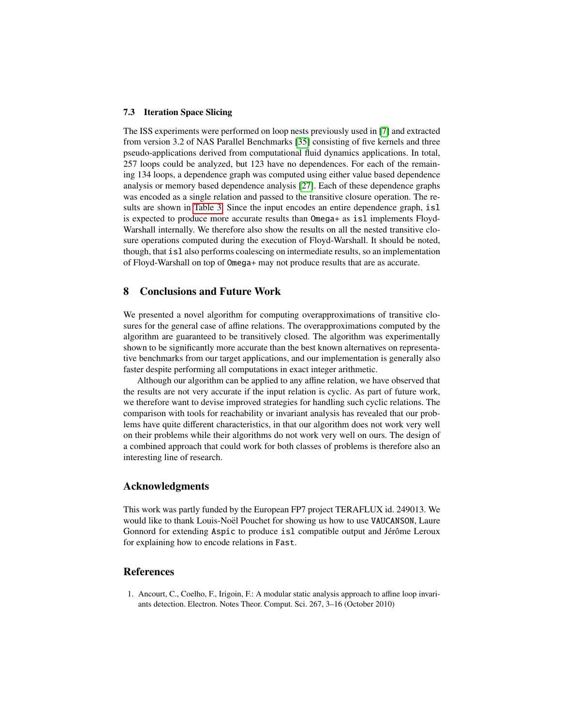#### 7.3 Iteration Space Slicing

The ISS experiments were performed on loop nests previously used in [7] and extracted from version 3.2 of NAS Parallel Benchmarks [35] consisting of five kernels and three pseudo-applications derived from computational fluid dynamics applications. In total, 257 loops could be analyzed, but 123 have no dependences. For each of the remaining 134 loops, a dependence graph was computed using either value based dependence analysis or memory based dependence analysis [27]. Each of these dependence graphs was encoded as a single relation and passed to the transitive closure operation. The results are shown in Table 3. Since the input encodes an entire dependence graph, isl is expected to produce more accurate results than Omega+ as isl implements Floyd-Warshall internally. We therefore also show the results on all the nested transitive closure operations computed during the execution of Floyd-Warshall. It should be noted, though, that isl also performs coalescing on intermediate results, so an implementation of Floyd-Warshall on top of Omega+ may not produce results that are as accurate.

# 8 Conclusions and Future Work

We presented a novel algorithm for computing overapproximations of transitive closures for the general case of affine relations. The overapproximations computed by the algorithm are guaranteed to be transitively closed. The algorithm was experimentally shown to be significantly more accurate than the best known alternatives on representative benchmarks from our target applications, and our implementation is generally also faster despite performing all computations in exact integer arithmetic.

Although our algorithm can be applied to any affine relation, we have observed that the results are not very accurate if the input relation is cyclic. As part of future work, we therefore want to devise improved strategies for handling such cyclic relations. The comparison with tools for reachability or invariant analysis has revealed that our problems have quite different characteristics, in that our algorithm does not work very well on their problems while their algorithms do not work very well on ours. The design of a combined approach that could work for both classes of problems is therefore also an interesting line of research.

# Acknowledgments

This work was partly funded by the European FP7 project TERAFLUX id. 249013. We would like to thank Louis-Noël Pouchet for showing us how to use VAUCANSON, Laure Gonnord for extending Aspic to produce isl compatible output and Jérôme Leroux for explaining how to encode relations in Fast.

# References

1. Ancourt, C., Coelho, F., Irigoin, F.: A modular static analysis approach to affine loop invariants detection. Electron. Notes Theor. Comput. Sci. 267, 3–16 (October 2010)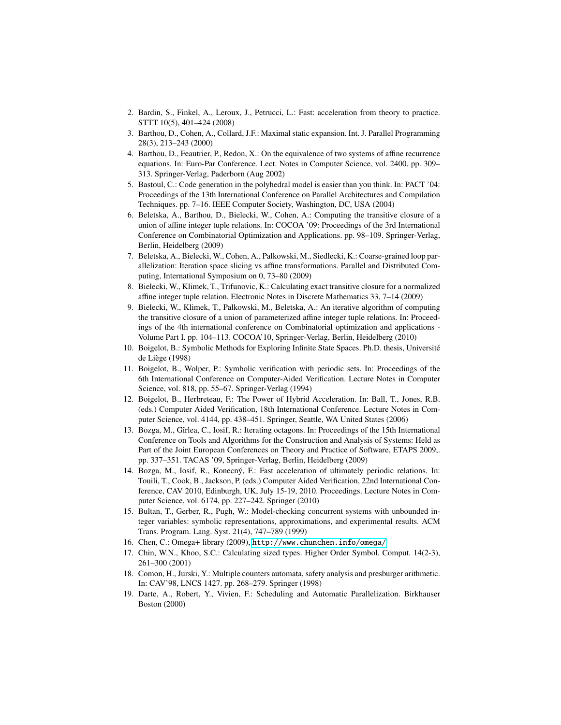- 2. Bardin, S., Finkel, A., Leroux, J., Petrucci, L.: Fast: acceleration from theory to practice. STTT 10(5), 401–424 (2008)
- 3. Barthou, D., Cohen, A., Collard, J.F.: Maximal static expansion. Int. J. Parallel Programming 28(3), 213–243 (2000)
- 4. Barthou, D., Feautrier, P., Redon, X.: On the equivalence of two systems of affine recurrence equations. In: Euro-Par Conference. Lect. Notes in Computer Science, vol. 2400, pp. 309– 313. Springer-Verlag, Paderborn (Aug 2002)
- 5. Bastoul, C.: Code generation in the polyhedral model is easier than you think. In: PACT '04: Proceedings of the 13th International Conference on Parallel Architectures and Compilation Techniques. pp. 7–16. IEEE Computer Society, Washington, DC, USA (2004)
- 6. Beletska, A., Barthou, D., Bielecki, W., Cohen, A.: Computing the transitive closure of a union of affine integer tuple relations. In: COCOA '09: Proceedings of the 3rd International Conference on Combinatorial Optimization and Applications. pp. 98–109. Springer-Verlag, Berlin, Heidelberg (2009)
- 7. Beletska, A., Bielecki, W., Cohen, A., Palkowski, M., Siedlecki, K.: Coarse-grained loop parallelization: Iteration space slicing vs affine transformations. Parallel and Distributed Computing, International Symposium on 0, 73–80 (2009)
- 8. Bielecki, W., Klimek, T., Trifunovic, K.: Calculating exact transitive closure for a normalized affine integer tuple relation. Electronic Notes in Discrete Mathematics 33, 7–14 (2009)
- 9. Bielecki, W., Klimek, T., Palkowski, M., Beletska, A.: An iterative algorithm of computing the transitive closure of a union of parameterized affine integer tuple relations. In: Proceedings of the 4th international conference on Combinatorial optimization and applications - Volume Part I. pp. 104–113. COCOA'10, Springer-Verlag, Berlin, Heidelberg (2010)
- 10. Boigelot, B.: Symbolic Methods for Exploring Infinite State Spaces. Ph.D. thesis, Universite´ de Liège (1998)
- 11. Boigelot, B., Wolper, P.: Symbolic verification with periodic sets. In: Proceedings of the 6th International Conference on Computer-Aided Verification. Lecture Notes in Computer Science, vol. 818, pp. 55–67. Springer-Verlag (1994)
- 12. Boigelot, B., Herbreteau, F.: The Power of Hybrid Acceleration. In: Ball, T., Jones, R.B. (eds.) Computer Aided Verification, 18th International Conference. Lecture Notes in Computer Science, vol. 4144, pp. 438–451. Springer, Seattle, WA United States (2006)
- 13. Bozga, M., Gˆırlea, C., Iosif, R.: Iterating octagons. In: Proceedings of the 15th International Conference on Tools and Algorithms for the Construction and Analysis of Systems: Held as Part of the Joint European Conferences on Theory and Practice of Software, ETAPS 2009,. pp. 337–351. TACAS '09, Springer-Verlag, Berlin, Heidelberg (2009)
- 14. Bozga, M., Iosif, R., Konecný, F.: Fast acceleration of ultimately periodic relations. In: Touili, T., Cook, B., Jackson, P. (eds.) Computer Aided Verification, 22nd International Conference, CAV 2010, Edinburgh, UK, July 15-19, 2010. Proceedings. Lecture Notes in Computer Science, vol. 6174, pp. 227–242. Springer (2010)
- 15. Bultan, T., Gerber, R., Pugh, W.: Model-checking concurrent systems with unbounded integer variables: symbolic representations, approximations, and experimental results. ACM Trans. Program. Lang. Syst. 21(4), 747–789 (1999)
- 16. Chen, C.: Omega+ library (2009), <http://www.chunchen.info/omega/>
- 17. Chin, W.N., Khoo, S.C.: Calculating sized types. Higher Order Symbol. Comput. 14(2-3), 261–300 (2001)
- 18. Comon, H., Jurski, Y.: Multiple counters automata, safety analysis and presburger arithmetic. In: CAV'98, LNCS 1427. pp. 268–279. Springer (1998)
- 19. Darte, A., Robert, Y., Vivien, F.: Scheduling and Automatic Parallelization. Birkhauser Boston (2000)